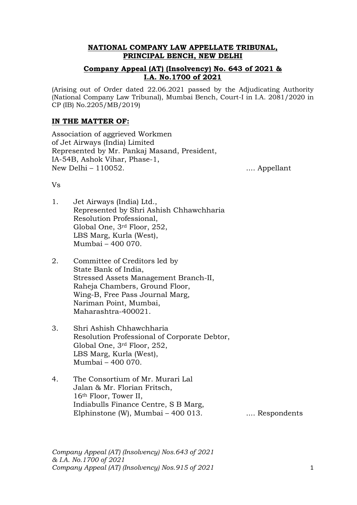# **NATIONAL COMPANY LAW APPELLATE TRIBUNAL, PRINCIPAL BENCH, NEW DELHI**

# **Company Appeal (AT) (Insolvency) No. 643 of 2021 & I.A. No.1700 of 2021**

(Arising out of Order dated 22.06.2021 passed by the Adjudicating Authority (National Company Law Tribunal), Mumbai Bench, Court-I in I.A. 2081/2020 in CP (IB) No.2205/MB/2019)

# **IN THE MATTER OF:**

Association of aggrieved Workmen of Jet Airways (India) Limited Represented by Mr. Pankaj Masand, President, IA-54B, Ashok Vihar, Phase-1, New Delhi – 110052. .... Appellant

### Vs

- 1. Jet Airways (India) Ltd., Represented by Shri Ashish Chhawchharia Resolution Professional, Global One, 3rd Floor, 252, LBS Marg, Kurla (West), Mumbai – 400 070.
- 2. Committee of Creditors led by State Bank of India, Stressed Assets Management Branch-II, Raheja Chambers, Ground Floor, Wing-B, Free Pass Journal Marg, Nariman Point, Mumbai, Maharashtra-400021.
- 3. Shri Ashish Chhawchharia Resolution Professional of Corporate Debtor, Global One, 3rd Floor, 252, LBS Marg, Kurla (West), Mumbai – 400 070.
- 4. The Consortium of Mr. Murari Lal Jalan & Mr. Florian Fritsch, 16th Floor, Tower II, Indiabulls Finance Centre, S B Marg, Elphinstone (W), Mumbai – 400 013.  $\ldots$  Respondents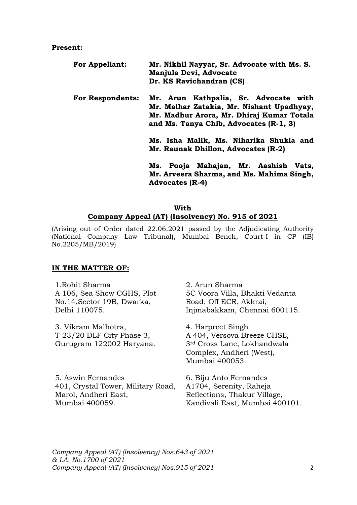#### **Present:**

| <b>For Appellant:</b>   | Mr. Nikhil Nayyar, Sr. Advocate with Ms. S.<br>Manjula Devi, Advocate                                                                                                     |  |
|-------------------------|---------------------------------------------------------------------------------------------------------------------------------------------------------------------------|--|
|                         | Dr. KS Ravichandran (CS)                                                                                                                                                  |  |
| <b>For Respondents:</b> | Mr. Arun Kathpalia, Sr. Advocate with<br>Mr. Malhar Zatakia, Mr. Nishant Upadhyay,<br>Mr. Madhur Arora, Mr. Dhiraj Kumar Totala<br>and Ms. Tanya Chib, Advocates (R-1, 3) |  |
|                         | Ms. Isha Malik, Ms. Niharika Shukla and<br>Mr. Raunak Dhillon, Advocates (R-2)<br>Ms. Pooja Mahajan, Mr. Aashish Vats,                                                    |  |
|                         | Mr. Arveera Sharma, and Ms. Mahima Singh,                                                                                                                                 |  |

**Mr. Arveera Sharma, and Ms. Mahima Singh, Advocates (R-4)**

# **With Company Appeal (AT) (Insolvency) No. 915 of 2021**

(Arising out of Order dated 22.06.2021 passed by the Adjudicating Authority (National Company Law Tribunal), Mumbai Bench, Court-I in CP (IB) No.2205/MB/2019)

### **IN THE MATTER OF:**

| 1. Rohit Sharma                    | 2. Arun Sharma                          |
|------------------------------------|-----------------------------------------|
| A 106, Sea Show CGHS, Plot         | 5C Voora Villa, Bhakti Vedanta          |
| No.14, Sector 19B, Dwarka,         | Road, Off ECR, Akkrai,                  |
| Delhi 110075.                      | Injmabakkam, Chennai 600115.            |
| 3. Vikram Malhotra,                | 4. Harpreet Singh                       |
| $T-23/20$ DLF City Phase 3,        | A 404, Versova Breeze CHSL,             |
| Gurugram 122002 Haryana.           | 3 <sup>rd</sup> Cross Lane, Lokhandwala |
|                                    | Complex, Andheri (West),                |
|                                    | Mumbai 400053.                          |
| 5. Aswin Fernandes                 | 6. Biju Anto Fernandes                  |
| 401, Crystal Tower, Military Road, | A1704, Serenity, Raheja                 |
| Marol, Andheri East,               | Reflections, Thakur Village,            |
| Mumbai 400059.                     | Kandivali East, Mumbai 400101.          |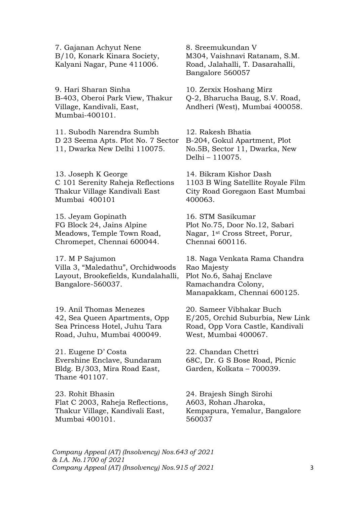7. Gajanan Achyut Nene B/10, Konark Kinara Society, Kalyani Nagar, Pune 411006.

9. Hari Sharan Sinha B-403, Oberoi Park View, Thakur Village, Kandivali, East, Mumbai-400101.

11. Subodh Narendra Sumbh D 23 Seema Apts. Plot No. 7 Sector 11, Dwarka New Delhi 110075.

13. Joseph K George C 101 Serenity Raheja Reflections Thakur Village Kandivali East Mumbai 400101

15. Jeyam Gopinath FG Block 24, Jains Alpine Meadows, Temple Town Road, Chromepet, Chennai 600044.

17. M P Sajumon Villa 3, "Maledathu", Orchidwoods Layout, Brookefields, Kundalahalli, Bangalore-560037.

19. Anil Thomas Menezes 42, Sea Queen Apartments, Opp Sea Princess Hotel, Juhu Tara Road, Juhu, Mumbai 400049.

21. Eugene D' Costa Evershine Enclave, Sundaram Bldg. B/303, Mira Road East, Thane 401107.

23. Rohit Bhasin Flat C 2003, Raheja Reflections, Thakur Village, Kandivali East, Mumbai 400101.

8. Sreemukundan V M304, Vaishnavi Ratanam, S.M. Road, Jalahalli, T. Dasarahalli, Bangalore 560057

10. Zerxix Hoshang Mirz Q-2, Bharucha Baug, S.V. Road, Andheri (West), Mumbai 400058.

12. Rakesh Bhatia B-204, Gokul Apartment, Plot No.5B, Sector 11, Dwarka, New Delhi – 110075.

14. Bikram Kishor Dash 1103 B Wing Satellite Royale Film City Road Goregaon East Mumbai 400063.

16. STM Sasikumar Plot No.75, Door No.12, Sabari Nagar, 1st Cross Street, Porur, Chennai 600116.

18. Naga Venkata Rama Chandra Rao Majesty Plot No.6, Sahaj Enclave Ramachandra Colony, Manapakkam, Chennai 600125.

20. Sameer Vibhakar Buch E/205, Orchid Suburbia, New Link Road, Opp Vora Castle, Kandivali West, Mumbai 400067.

22. Chandan Chettri 68C, Dr. G S Bose Road, Picnic Garden, Kolkata – 700039.

24. Brajesh Singh Sirohi A603, Rohan Jharoka, Kempapura, Yemalur, Bangalore 560037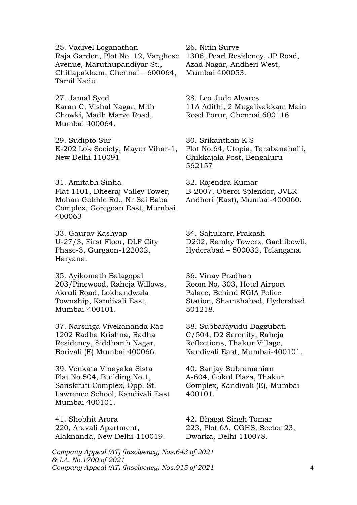25. Vadivel Loganathan Raja Garden, Plot No. 12, Varghese Avenue, Maruthupandiyar St., Chitlapakkam, Chennai – 600064, Tamil Nadu.

27. Jamal Syed Karan C, Vishal Nagar, Mith Chowki, Madh Marve Road, Mumbai 400064.

29. Sudipto Sur E-202 Lok Society, Mayur Vihar-1, New Delhi 110091

31. Amitabh Sinha Flat 1101, Dheeraj Valley Tower, Mohan Gokhle Rd., Nr Sai Baba Complex, Goregoan East, Mumbai 400063

33. Gaurav Kashyap U-27/3, First Floor, DLF City Phase-3, Gurgaon-122002, Haryana.

35. Ayikomath Balagopal 203/Pinewood, Raheja Willows, Akruli Road, Lokhandwala Township, Kandivali East, Mumbai-400101.

37. Narsinga Vivekananda Rao 1202 Radha Krishna, Radha Residency, Siddharth Nagar, Borivali (E) Mumbai 400066.

39. Venkata Vinayaka Sista Flat No.504, Building No.1, Sanskruti Complex, Opp. St. Lawrence School, Kandivali East Mumbai 400101.

41. Shobhit Arora 220, Aravali Apartment, Alaknanda, New Delhi-110019.

26. Nitin Surve 1306, Pearl Residency, JP Road, Azad Nagar, Andheri West, Mumbai 400053.

28. Leo Jude Alvares 11A Adithi, 2 Mugalivakkam Main Road Porur, Chennai 600116.

30. Srikanthan K S Plot No.64, Utopia, Tarabanahalli, Chikkajala Post, Bengaluru 562157

32. Rajendra Kumar B-2007, Oberoi Splendor, JVLR Andheri (East), Mumbai-400060.

34. Sahukara Prakash D202, Ramky Towers, Gachibowli, Hyderabad – 500032, Telangana.

36. Vinay Pradhan Room No. 303, Hotel Airport Palace, Behind RGIA Police Station, Shamshabad, Hyderabad 501218.

38. Subbarayudu Daggubati C/504, D2 Serenity, Raheja Reflections, Thakur Village, Kandivali East, Mumbai-400101.

40. Sanjay Subramanian A-604, Gokul Plaza, Thakur Complex, Kandivali (E), Mumbai 400101.

42. Bhagat Singh Tomar 223, Plot 6A, CGHS, Sector 23, Dwarka, Delhi 110078.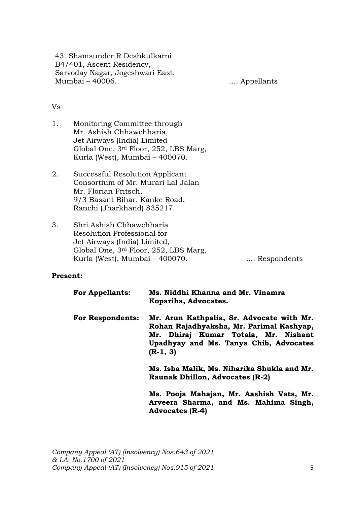43. Shamsunder R Deshkulkarni B4/401, Ascent Residency, Sarvoday Nagar, Jogeshwari East, Mumbai – 40006. .... Appellants

### Vs

- 1. Monitoring Committee through Mr. Ashish Chhawchharia, Jet Airways (India) Limited Global One, 3rd Floor, 252, LBS Marg, Kurla (West), Mumbai – 400070.
- 2. Successful Resolution Applicant Consortium of Mr. Murari Lal Jalan Mr. Florian Fritsch, 9/3 Basant Bihar, Kanke Road, Ranchi (Jharkhand) 835217.
- 3. Shri Ashish Chhawchharia Resolution Professional for Jet Airways (India) Limited, Global One, 3rd Floor, 252, LBS Marg, Kurla (West), Mumbai – 400070. ..... Respondents

### **Present:**

| <b>For Appellants:</b>  | Ms. Niddhi Khanna and Mr. Vinamra<br>Kopariha, Advocates.                                                                                                                             |
|-------------------------|---------------------------------------------------------------------------------------------------------------------------------------------------------------------------------------|
| <b>For Respondents:</b> | Mr. Arun Kathpalia, Sr. Advocate with Mr.<br>Rohan Rajadhyaksha, Mr. Parimal Kashyap,<br>Mr. Dhiraj Kumar Totala, Mr. Nishant<br>Upadhyay and Ms. Tanya Chib, Advocates<br>$(R-1, 3)$ |
|                         | Ms. Isha Malik, Ms. Niharika Shukla and Mr.<br><b>Raunak Dhillon, Advocates (R-2)</b>                                                                                                 |
|                         | Ma Deeja Mahajan Mu Aaahjah Vata Mu                                                                                                                                                   |

**Ms. Pooja Mahajan, Mr. Aashish Vats, Mr. Arveera Sharma, and Ms. Mahima Singh, Advocates (R-4)**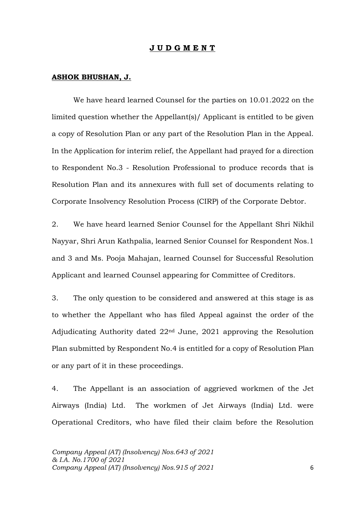#### **J U D G M E N T**

#### **ASHOK BHUSHAN, J.**

We have heard learned Counsel for the parties on 10.01.2022 on the limited question whether the Appellant(s)/ Applicant is entitled to be given a copy of Resolution Plan or any part of the Resolution Plan in the Appeal. In the Application for interim relief, the Appellant had prayed for a direction to Respondent No.3 - Resolution Professional to produce records that is Resolution Plan and its annexures with full set of documents relating to Corporate Insolvency Resolution Process (CIRP) of the Corporate Debtor.

2. We have heard learned Senior Counsel for the Appellant Shri Nikhil Nayyar, Shri Arun Kathpalia, learned Senior Counsel for Respondent Nos.1 and 3 and Ms. Pooja Mahajan, learned Counsel for Successful Resolution Applicant and learned Counsel appearing for Committee of Creditors.

3. The only question to be considered and answered at this stage is as to whether the Appellant who has filed Appeal against the order of the Adjudicating Authority dated 22nd June, 2021 approving the Resolution Plan submitted by Respondent No.4 is entitled for a copy of Resolution Plan or any part of it in these proceedings.

4. The Appellant is an association of aggrieved workmen of the Jet Airways (India) Ltd. The workmen of Jet Airways (India) Ltd. were Operational Creditors, who have filed their claim before the Resolution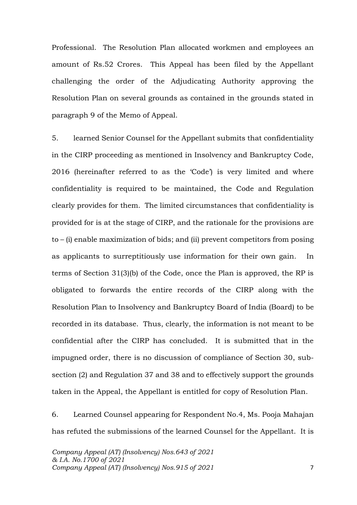Professional. The Resolution Plan allocated workmen and employees an amount of Rs.52 Crores. This Appeal has been filed by the Appellant challenging the order of the Adjudicating Authority approving the Resolution Plan on several grounds as contained in the grounds stated in paragraph 9 of the Memo of Appeal.

5. learned Senior Counsel for the Appellant submits that confidentiality in the CIRP proceeding as mentioned in Insolvency and Bankruptcy Code, 2016 (hereinafter referred to as the 'Code') is very limited and where confidentiality is required to be maintained, the Code and Regulation clearly provides for them. The limited circumstances that confidentiality is provided for is at the stage of CIRP, and the rationale for the provisions are to – (i) enable maximization of bids; and (ii) prevent competitors from posing as applicants to surreptitiously use information for their own gain. In terms of Section 31(3)(b) of the Code, once the Plan is approved, the RP is obligated to forwards the entire records of the CIRP along with the Resolution Plan to Insolvency and Bankruptcy Board of India (Board) to be recorded in its database. Thus, clearly, the information is not meant to be confidential after the CIRP has concluded. It is submitted that in the impugned order, there is no discussion of compliance of Section 30, subsection (2) and Regulation 37 and 38 and to effectively support the grounds taken in the Appeal, the Appellant is entitled for copy of Resolution Plan.

6. Learned Counsel appearing for Respondent No.4, Ms. Pooja Mahajan has refuted the submissions of the learned Counsel for the Appellant. It is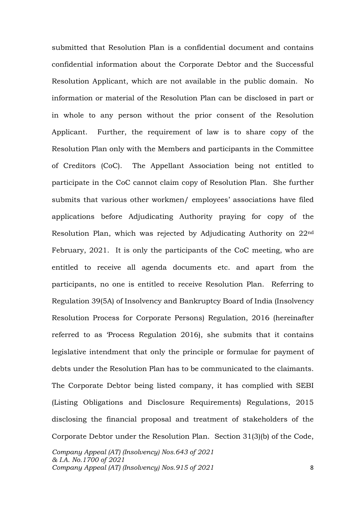submitted that Resolution Plan is a confidential document and contains confidential information about the Corporate Debtor and the Successful Resolution Applicant, which are not available in the public domain. No information or material of the Resolution Plan can be disclosed in part or in whole to any person without the prior consent of the Resolution Applicant. Further, the requirement of law is to share copy of the Resolution Plan only with the Members and participants in the Committee of Creditors (CoC). The Appellant Association being not entitled to participate in the CoC cannot claim copy of Resolution Plan. She further submits that various other workmen/ employees' associations have filed applications before Adjudicating Authority praying for copy of the Resolution Plan, which was rejected by Adjudicating Authority on 22nd February, 2021. It is only the participants of the CoC meeting, who are entitled to receive all agenda documents etc. and apart from the participants, no one is entitled to receive Resolution Plan. Referring to Regulation 39(5A) of Insolvency and Bankruptcy Board of India (Insolvency Resolution Process for Corporate Persons) Regulation, 2016 (hereinafter referred to as 'Process Regulation 2016), she submits that it contains legislative intendment that only the principle or formulae for payment of debts under the Resolution Plan has to be communicated to the claimants. The Corporate Debtor being listed company, it has complied with SEBI (Listing Obligations and Disclosure Requirements) Regulations, 2015 disclosing the financial proposal and treatment of stakeholders of the Corporate Debtor under the Resolution Plan. Section 31(3)(b) of the Code,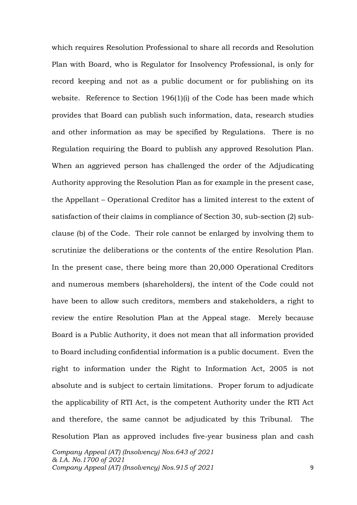which requires Resolution Professional to share all records and Resolution Plan with Board, who is Regulator for Insolvency Professional, is only for record keeping and not as a public document or for publishing on its website. Reference to Section 196(1)(i) of the Code has been made which provides that Board can publish such information, data, research studies and other information as may be specified by Regulations. There is no Regulation requiring the Board to publish any approved Resolution Plan. When an aggrieved person has challenged the order of the Adjudicating Authority approving the Resolution Plan as for example in the present case, the Appellant – Operational Creditor has a limited interest to the extent of satisfaction of their claims in compliance of Section 30, sub-section (2) subclause (b) of the Code. Their role cannot be enlarged by involving them to scrutinize the deliberations or the contents of the entire Resolution Plan. In the present case, there being more than 20,000 Operational Creditors and numerous members (shareholders), the intent of the Code could not have been to allow such creditors, members and stakeholders, a right to review the entire Resolution Plan at the Appeal stage. Merely because Board is a Public Authority, it does not mean that all information provided to Board including confidential information is a public document. Even the right to information under the Right to Information Act, 2005 is not absolute and is subject to certain limitations. Proper forum to adjudicate the applicability of RTI Act, is the competent Authority under the RTI Act and therefore, the same cannot be adjudicated by this Tribunal. The Resolution Plan as approved includes five-year business plan and cash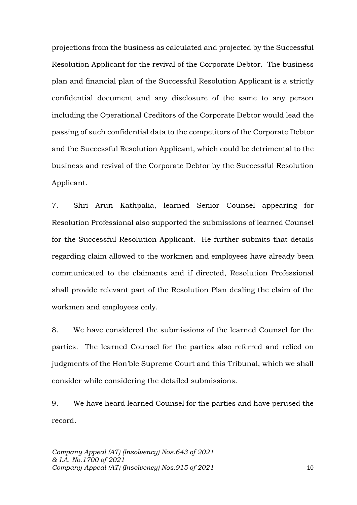projections from the business as calculated and projected by the Successful Resolution Applicant for the revival of the Corporate Debtor. The business plan and financial plan of the Successful Resolution Applicant is a strictly confidential document and any disclosure of the same to any person including the Operational Creditors of the Corporate Debtor would lead the passing of such confidential data to the competitors of the Corporate Debtor and the Successful Resolution Applicant, which could be detrimental to the business and revival of the Corporate Debtor by the Successful Resolution Applicant.

7. Shri Arun Kathpalia, learned Senior Counsel appearing for Resolution Professional also supported the submissions of learned Counsel for the Successful Resolution Applicant. He further submits that details regarding claim allowed to the workmen and employees have already been communicated to the claimants and if directed, Resolution Professional shall provide relevant part of the Resolution Plan dealing the claim of the workmen and employees only.

8. We have considered the submissions of the learned Counsel for the parties. The learned Counsel for the parties also referred and relied on judgments of the Hon'ble Supreme Court and this Tribunal, which we shall consider while considering the detailed submissions.

9. We have heard learned Counsel for the parties and have perused the record.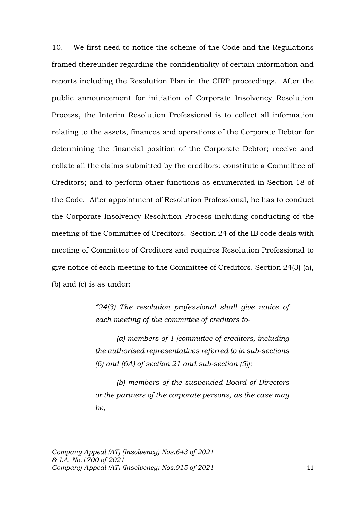10. We first need to notice the scheme of the Code and the Regulations framed thereunder regarding the confidentiality of certain information and reports including the Resolution Plan in the CIRP proceedings. After the public announcement for initiation of Corporate Insolvency Resolution Process, the Interim Resolution Professional is to collect all information relating to the assets, finances and operations of the Corporate Debtor for determining the financial position of the Corporate Debtor; receive and collate all the claims submitted by the creditors; constitute a Committee of Creditors; and to perform other functions as enumerated in Section 18 of the Code. After appointment of Resolution Professional, he has to conduct the Corporate Insolvency Resolution Process including conducting of the meeting of the Committee of Creditors. Section 24 of the IB code deals with meeting of Committee of Creditors and requires Resolution Professional to give notice of each meeting to the Committee of Creditors. Section 24(3) (a), (b) and (c) is as under:

> *"24(3) The resolution professional shall give notice of each meeting of the committee of creditors to-*

> *(a) members of 1 [committee of creditors, including the authorised representatives referred to in sub-sections (6) and (6A) of section 21 and sub-section (5)];*

> *(b) members of the suspended Board of Directors or the partners of the corporate persons, as the case may be;*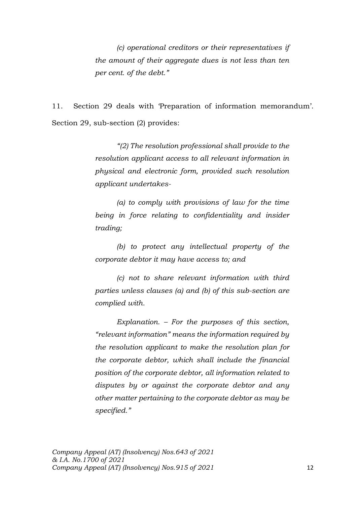*(c) operational creditors or their representatives if the amount of their aggregate dues is not less than ten per cent. of the debt."*

11. Section 29 deals with 'Preparation of information memorandum'. Section 29, sub-section (2) provides:

> *"(2) The resolution professional shall provide to the resolution applicant access to all relevant information in physical and electronic form, provided such resolution applicant undertakes-*

> *(a) to comply with provisions of law for the time being in force relating to confidentiality and insider trading;*

> *(b) to protect any intellectual property of the corporate debtor it may have access to; and*

> *(c) not to share relevant information with third parties unless clauses (a) and (b) of this sub-section are complied with.*

> *Explanation. – For the purposes of this section, "relevant information" means the information required by the resolution applicant to make the resolution plan for the corporate debtor, which shall include the financial position of the corporate debtor, all information related to disputes by or against the corporate debtor and any other matter pertaining to the corporate debtor as may be specified."*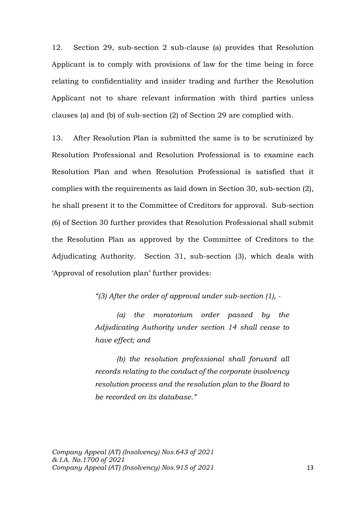12. Section 29, sub-section 2 sub-clause (a) provides that Resolution Applicant is to comply with provisions of law for the time being in force relating to confidentiality and insider trading and further the Resolution Applicant not to share relevant information with third parties unless clauses (a) and (b) of sub-section (2) of Section 29 are complied with.

13. After Resolution Plan is submitted the same is to be scrutinized by Resolution Professional and Resolution Professional is to examine each Resolution Plan and when Resolution Professional is satisfied that it complies with the requirements as laid down in Section 30, sub-section (2), he shall present it to the Committee of Creditors for approval. Sub-section (6) of Section 30 further provides that Resolution Professional shall submit the Resolution Plan as approved by the Committee of Creditors to the Adjudicating Authority. Section 31, sub-section (3), which deals with 'Approval of resolution plan' further provides:

*"(3) After the order of approval under sub-section (1), -*

*(a) the moratorium order passed by the Adjudicating Authority under section 14 shall cease to have effect; and* 

*(b) the resolution professional shall forward all records relating to the conduct of the corporate insolvency resolution process and the resolution plan to the Board to be recorded on its database."*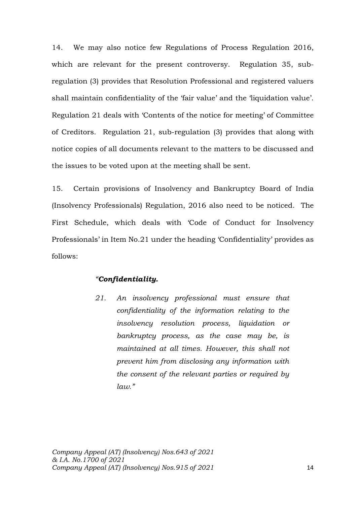14. We may also notice few Regulations of Process Regulation 2016, which are relevant for the present controversy. Regulation 35, subregulation (3) provides that Resolution Professional and registered valuers shall maintain confidentiality of the 'fair value' and the 'liquidation value'. Regulation 21 deals with 'Contents of the notice for meeting' of Committee of Creditors. Regulation 21, sub-regulation (3) provides that along with notice copies of all documents relevant to the matters to be discussed and the issues to be voted upon at the meeting shall be sent.

15. Certain provisions of Insolvency and Bankruptcy Board of India (Insolvency Professionals) Regulation, 2016 also need to be noticed. The First Schedule, which deals with 'Code of Conduct for Insolvency Professionals' in Item No.21 under the heading 'Confidentiality' provides as follows:

### *"Confidentiality.*

*21. An insolvency professional must ensure that confidentiality of the information relating to the insolvency resolution process, liquidation or bankruptcy process, as the case may be, is maintained at all times. However, this shall not prevent him from disclosing any information with the consent of the relevant parties or required by law."*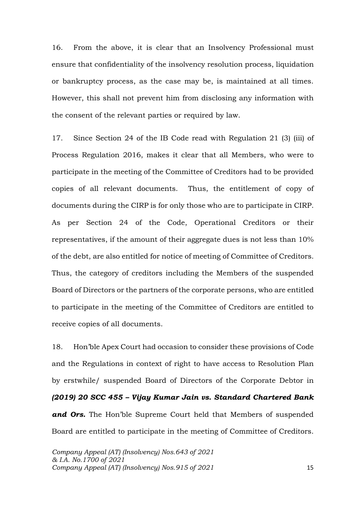16. From the above, it is clear that an Insolvency Professional must ensure that confidentiality of the insolvency resolution process, liquidation or bankruptcy process, as the case may be, is maintained at all times. However, this shall not prevent him from disclosing any information with the consent of the relevant parties or required by law.

17. Since Section 24 of the IB Code read with Regulation 21 (3) (iii) of Process Regulation 2016, makes it clear that all Members, who were to participate in the meeting of the Committee of Creditors had to be provided copies of all relevant documents. Thus, the entitlement of copy of documents during the CIRP is for only those who are to participate in CIRP. As per Section 24 of the Code, Operational Creditors or their representatives, if the amount of their aggregate dues is not less than 10% of the debt, are also entitled for notice of meeting of Committee of Creditors. Thus, the category of creditors including the Members of the suspended Board of Directors or the partners of the corporate persons, who are entitled to participate in the meeting of the Committee of Creditors are entitled to receive copies of all documents.

18. Hon'ble Apex Court had occasion to consider these provisions of Code and the Regulations in context of right to have access to Resolution Plan by erstwhile/ suspended Board of Directors of the Corporate Debtor in *(2019) 20 SCC 455 – Vijay Kumar Jain vs. Standard Chartered Bank and Ors.* The Hon'ble Supreme Court held that Members of suspended Board are entitled to participate in the meeting of Committee of Creditors.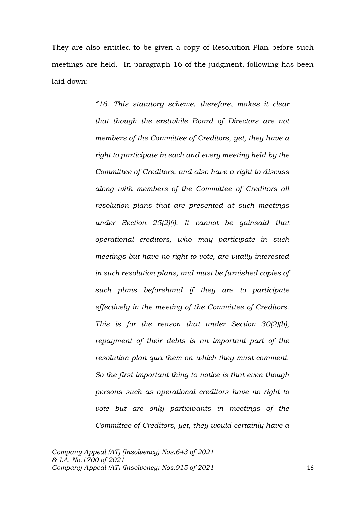They are also entitled to be given a copy of Resolution Plan before such meetings are held. In paragraph 16 of the judgment, following has been laid down:

> *"16. This statutory scheme, therefore, makes it clear that though the erstwhile Board of Directors are not members of the Committee of Creditors, yet, they have a right to participate in each and every meeting held by the Committee of Creditors, and also have a right to discuss along with members of the Committee of Creditors all resolution plans that are presented at such meetings under Section 25(2)(i). It cannot be gainsaid that operational creditors, who may participate in such meetings but have no right to vote, are vitally interested in such resolution plans, and must be furnished copies of such plans beforehand if they are to participate effectively in the meeting of the Committee of Creditors. This is for the reason that under Section 30(2)(b), repayment of their debts is an important part of the resolution plan qua them on which they must comment. So the first important thing to notice is that even though persons such as operational creditors have no right to vote but are only participants in meetings of the Committee of Creditors, yet, they would certainly have a*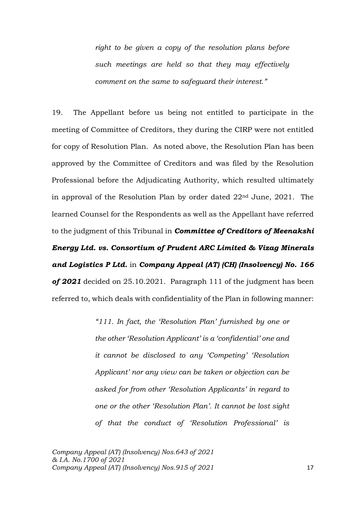*right to be given a copy of the resolution plans before such meetings are held so that they may effectively comment on the same to safeguard their interest."*

19. The Appellant before us being not entitled to participate in the meeting of Committee of Creditors, they during the CIRP were not entitled for copy of Resolution Plan. As noted above, the Resolution Plan has been approved by the Committee of Creditors and was filed by the Resolution Professional before the Adjudicating Authority, which resulted ultimately in approval of the Resolution Plan by order dated 22nd June, 2021. The learned Counsel for the Respondents as well as the Appellant have referred to the judgment of this Tribunal in *Committee of Creditors of Meenakshi Energy Ltd. vs. Consortium of Prudent ARC Limited & Vizag Minerals and Logistics P Ltd.* in *Company Appeal (AT) (CH) (Insolvency) No. 166 of 2021* decided on 25.10.2021. Paragraph 111 of the judgment has been referred to, which deals with confidentiality of the Plan in following manner:

> *"111. In fact, the 'Resolution Plan' furnished by one or the other 'Resolution Applicant' is a 'confidential' one and it cannot be disclosed to any 'Competing' 'Resolution Applicant' nor any view can be taken or objection can be asked for from other 'Resolution Applicants' in regard to one or the other 'Resolution Plan'. It cannot be lost sight of that the conduct of 'Resolution Professional' is*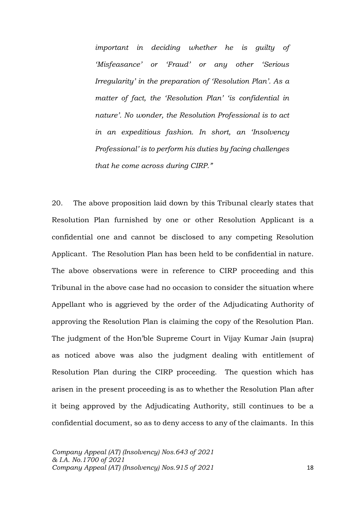*important in deciding whether he is guilty of 'Misfeasance' or 'Fraud' or any other 'Serious Irregularity' in the preparation of 'Resolution Plan'. As a matter of fact, the 'Resolution Plan' 'is confidential in nature'. No wonder, the Resolution Professional is to act in an expeditious fashion. In short, an 'Insolvency Professional' is to perform his duties by facing challenges that he come across during CIRP."*

20. The above proposition laid down by this Tribunal clearly states that Resolution Plan furnished by one or other Resolution Applicant is a confidential one and cannot be disclosed to any competing Resolution Applicant. The Resolution Plan has been held to be confidential in nature. The above observations were in reference to CIRP proceeding and this Tribunal in the above case had no occasion to consider the situation where Appellant who is aggrieved by the order of the Adjudicating Authority of approving the Resolution Plan is claiming the copy of the Resolution Plan. The judgment of the Hon'ble Supreme Court in Vijay Kumar Jain (supra) as noticed above was also the judgment dealing with entitlement of Resolution Plan during the CIRP proceeding. The question which has arisen in the present proceeding is as to whether the Resolution Plan after it being approved by the Adjudicating Authority, still continues to be a confidential document, so as to deny access to any of the claimants. In this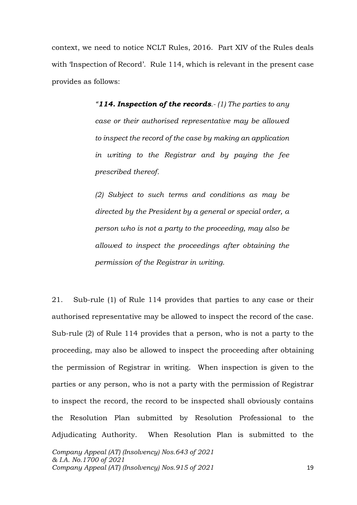context, we need to notice NCLT Rules, 2016. Part XIV of the Rules deals with 'Inspection of Record'. Rule 114, which is relevant in the present case provides as follows:

> *"114. Inspection of the records.- (1) The parties to any case or their authorised representative may be allowed to inspect the record of the case by making an application in writing to the Registrar and by paying the fee prescribed thereof.*

> *(2) Subject to such terms and conditions as may be directed by the President by a general or special order, a person who is not a party to the proceeding, may also be allowed to inspect the proceedings after obtaining the permission of the Registrar in writing.*

21. Sub-rule (1) of Rule 114 provides that parties to any case or their authorised representative may be allowed to inspect the record of the case. Sub-rule (2) of Rule 114 provides that a person, who is not a party to the proceeding, may also be allowed to inspect the proceeding after obtaining the permission of Registrar in writing. When inspection is given to the parties or any person, who is not a party with the permission of Registrar to inspect the record, the record to be inspected shall obviously contains the Resolution Plan submitted by Resolution Professional to the Adjudicating Authority. When Resolution Plan is submitted to the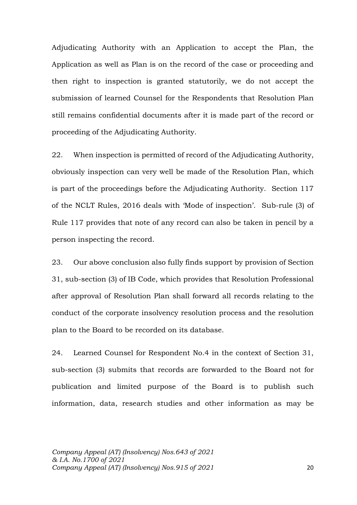Adjudicating Authority with an Application to accept the Plan, the Application as well as Plan is on the record of the case or proceeding and then right to inspection is granted statutorily, we do not accept the submission of learned Counsel for the Respondents that Resolution Plan still remains confidential documents after it is made part of the record or proceeding of the Adjudicating Authority.

22. When inspection is permitted of record of the Adjudicating Authority, obviously inspection can very well be made of the Resolution Plan, which is part of the proceedings before the Adjudicating Authority. Section 117 of the NCLT Rules, 2016 deals with 'Mode of inspection'. Sub-rule (3) of Rule 117 provides that note of any record can also be taken in pencil by a person inspecting the record.

23. Our above conclusion also fully finds support by provision of Section 31, sub-section (3) of IB Code, which provides that Resolution Professional after approval of Resolution Plan shall forward all records relating to the conduct of the corporate insolvency resolution process and the resolution plan to the Board to be recorded on its database.

24. Learned Counsel for Respondent No.4 in the context of Section 31, sub-section (3) submits that records are forwarded to the Board not for publication and limited purpose of the Board is to publish such information, data, research studies and other information as may be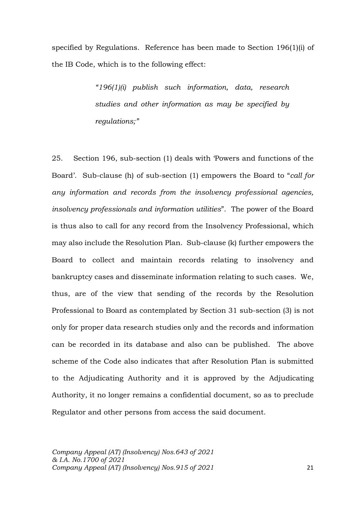specified by Regulations. Reference has been made to Section 196(1)(i) of the IB Code, which is to the following effect:

> *"196(1)(i) publish such information, data, research studies and other information as may be specified by regulations;"*

25. Section 196, sub-section (1) deals with 'Powers and functions of the Board'. Sub-clause (h) of sub-section (1) empowers the Board to "*call for any information and records from the insolvency professional agencies, insolvency professionals and information utilities*". The power of the Board is thus also to call for any record from the Insolvency Professional, which may also include the Resolution Plan. Sub-clause (k) further empowers the Board to collect and maintain records relating to insolvency and bankruptcy cases and disseminate information relating to such cases. We, thus, are of the view that sending of the records by the Resolution Professional to Board as contemplated by Section 31 sub-section (3) is not only for proper data research studies only and the records and information can be recorded in its database and also can be published. The above scheme of the Code also indicates that after Resolution Plan is submitted to the Adjudicating Authority and it is approved by the Adjudicating Authority, it no longer remains a confidential document, so as to preclude Regulator and other persons from access the said document.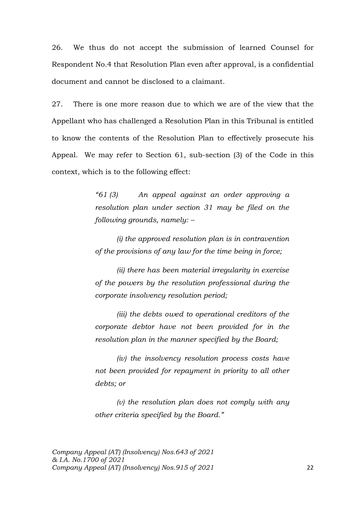26. We thus do not accept the submission of learned Counsel for Respondent No.4 that Resolution Plan even after approval, is a confidential document and cannot be disclosed to a claimant.

27. There is one more reason due to which we are of the view that the Appellant who has challenged a Resolution Plan in this Tribunal is entitled to know the contents of the Resolution Plan to effectively prosecute his Appeal. We may refer to Section 61, sub-section (3) of the Code in this context, which is to the following effect:

> *"61 (3) An appeal against an order approving a resolution plan under section 31 may be filed on the following grounds, namely: –*

> *(i) the approved resolution plan is in contravention of the provisions of any law for the time being in force;*

> *(ii) there has been material irregularity in exercise of the powers by the resolution professional during the corporate insolvency resolution period;*

> *(iii) the debts owed to operational creditors of the corporate debtor have not been provided for in the resolution plan in the manner specified by the Board;*

> *(iv) the insolvency resolution process costs have not been provided for repayment in priority to all other debts; or*

> *(v) the resolution plan does not comply with any other criteria specified by the Board."*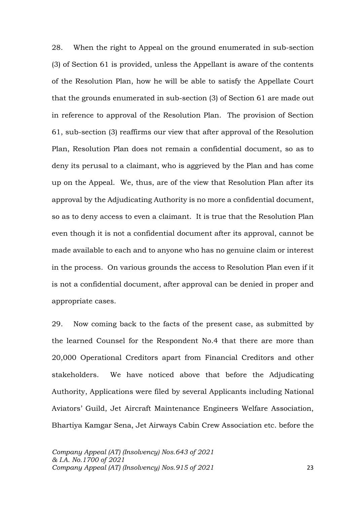28. When the right to Appeal on the ground enumerated in sub-section (3) of Section 61 is provided, unless the Appellant is aware of the contents of the Resolution Plan, how he will be able to satisfy the Appellate Court that the grounds enumerated in sub-section (3) of Section 61 are made out in reference to approval of the Resolution Plan. The provision of Section 61, sub-section (3) reaffirms our view that after approval of the Resolution Plan, Resolution Plan does not remain a confidential document, so as to deny its perusal to a claimant, who is aggrieved by the Plan and has come up on the Appeal. We, thus, are of the view that Resolution Plan after its approval by the Adjudicating Authority is no more a confidential document, so as to deny access to even a claimant. It is true that the Resolution Plan even though it is not a confidential document after its approval, cannot be made available to each and to anyone who has no genuine claim or interest in the process. On various grounds the access to Resolution Plan even if it is not a confidential document, after approval can be denied in proper and appropriate cases.

29. Now coming back to the facts of the present case, as submitted by the learned Counsel for the Respondent No.4 that there are more than 20,000 Operational Creditors apart from Financial Creditors and other stakeholders. We have noticed above that before the Adjudicating Authority, Applications were filed by several Applicants including National Aviators' Guild, Jet Aircraft Maintenance Engineers Welfare Association, Bhartiya Kamgar Sena, Jet Airways Cabin Crew Association etc. before the